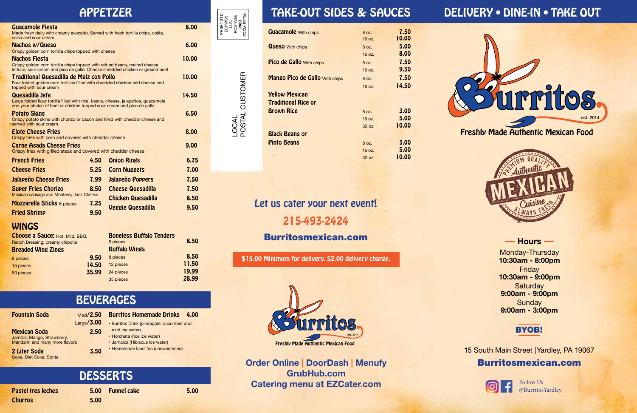| <b>Guacamole</b> With chips           | 8 oz.  | 7.50  |
|---------------------------------------|--------|-------|
|                                       | 16 oz. | 10.00 |
| <b>Queso</b> With chips               | 8 oz.  | 5.00  |
|                                       | 16 oz. | 8.00  |
| <b>Pico de Gallo With chips</b>       | 8 oz.  | 7.50  |
|                                       | 16 oz. | 9.50  |
| <b>Mango Pico de Gallo With chips</b> | 8 oz.  | 7.50  |
|                                       | 16 oz. | 14.50 |
| <b>Yellow Mexican</b>                 |        |       |
| <b>Traditional Rice or</b>            |        |       |
| <b>Brown Rice</b>                     | 8.07.  | 3.00  |
|                                       | 16 oz. | 5.00  |
|                                       | 32 oz. | 10.00 |
| <b>Black Beans or</b>                 |        |       |
| <b>Pinto Beans</b>                    | 8 oz.  | 3.00  |
|                                       | 16 oz. | 5.00  |
|                                       | 32 oz. | 10.00 |

Freshly Made Authentic Mexican Food







### **–– Hours ––**

Monday-Thursday **10:30am - 8:00pm** Friday **10:30am - 9:00pm Saturday 9:00am - 9:00pm Sunday 9:00am - 3:00pm**

Mexican Soda 2.500 2.500 2.500 2.500 2.500 2.500 2.500 2.500 2.500 2.500 2.500 2.500 2.500 2.500 2.500 2.500 2 Jarritos, Mango, Strawberry, Mandarin and many more flavors

2 Liter Soda 3.50 Coke, Diet Coke, Sprite

15 South Main Street | Yardley, PA 19067 Burritosmexican.com



Follow Us @BurritosYardley

**Order Online | DoorDash | Menufy GrubHub.com Catering menu at EZCater.com** 

# APPETZER TAKE-OUT SIDES & SAUCES DELIVERY • DINE-IN • TAKE OUT

LOCAL<br>POSTAL CUSTOMER POSTAL CUSTOMER

| Med/2.50   | <b>Burritos Homemade Drinks</b>           | 4.00 |
|------------|-------------------------------------------|------|
| Large/3.00 | • Burritos Drink (pineapple, cucumber and |      |
| 2.50       | mint ice water)                           |      |
|            | · Horchata (rice ice water)               |      |
|            | $\sim$ Lamenian (Ulibianus ing water)     |      |

- Jamaica (Hibiscus ice water)
- Homemade Iced Tea (unsweetened)

### Pastel tres leches Churros 5.00 Funnel cake 5.00 **DESSERTS**

| <b>Choose a Sauce: Hot, Mild, BBQ,</b> | <b>Boneless Buffalo Tenders</b> |       |
|----------------------------------------|---------------------------------|-------|
| Ranch Dressing, creamy chipolte        | 6 pieces                        | 8.50  |
| <b>Breaded Wing Zings</b>              | <b>Buffalo Wings</b>            |       |
| 9.50<br>8 pieces                       | 8 pieces                        | 8.50  |
| 14.50<br>15 pieces                     | 12 pieces                       | 11.50 |
| 35.99<br>50 pieces                     | 24 pieces                       | 19.99 |
|                                        | 35 pieces                       | 28.99 |

## WINGS

## BEVERAGES

### **Fountain Soda**

# Let us cater your next event! 215-493-2424 Burritosmexican.com

| <b>Guacamole Fiesta</b><br>Made fresh daily with creamy avocado. Served with fresh tortilla chips, cojita,<br>salsa and sour cream                                                   |              |                          | 8.00  |
|--------------------------------------------------------------------------------------------------------------------------------------------------------------------------------------|--------------|--------------------------|-------|
| Nachos w/Queso<br>Crispy golden corn tortilla chips topped with cheese                                                                                                               |              |                          | 6.00  |
| <b>Nachos Fiesta</b><br>Crispy golden corn tortilla chips topped with refried beans, melted cheese,<br>lettuce, sour cream and pico de gallo. Choose shredded chicken or ground beef |              |                          | 10.00 |
| Traditional Quesadilla de Maiz con Pollo<br>Four folded golden corn tortillas filled with shredded chicken and cheese and<br>topped with sour cream                                  |              |                          | 10.00 |
| Quesadilla Jefe<br>Large folded flour tortilla filled with rice, beans, cheese, jalapeños, quacamole<br>and your choice of beef or chicken topped sour cream and pico de gallo       |              |                          | 14.50 |
| <b>Potato Skins</b><br>Crispy potato skins with chorizo or bacon and filled with cheddar cheese and<br>served with sour cream                                                        |              |                          | 6.50  |
| <b>Elote Cheese Fries</b><br>Crispy fries with corn and covered with cheddar cheese                                                                                                  |              |                          | 8.00  |
| <b>Carne Asada Cheese Fries</b><br>Crispy fries with grilled steak and covered with cheddar cheese                                                                                   |              |                          | 9.00  |
| <b>French Fries</b>                                                                                                                                                                  | 4.50         | <b>Onion Rings</b>       | 6.75  |
| <b>Cheese Fries</b>                                                                                                                                                                  | 5.25         | <b>Corn Nuggets</b>      | 7.00  |
| Jalapeño Cheese Fries                                                                                                                                                                | 7.99         | Jalapeño Poppers         | 7.50  |
| <b>Super Fries Chorizo</b>                                                                                                                                                           | 8.50         | <b>Cheese Quesadilla</b> | 7.50  |
| Mexican sausage and Monterey Jack Cheese                                                                                                                                             |              | Chicken Quesadilla       | 8.50  |
| <b>Mozzarella Sticks 6 pieces</b><br><b>Fried Shrimp</b>                                                                                                                             | 7.25<br>9.50 | <b>Veggie Quesadilla</b> | 9.50  |

### PRSRT STD ECRWSS এই<br>⊃৯**ছ** POSTAGE EDDM RETAIL

\$15.00 Minimum for delivery. \$2.00 delivery charge.